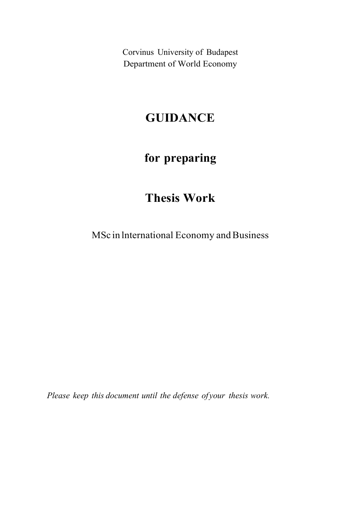Corvinus University of Budapest Department of World Economy

# GUIDANCE

# for preparing

# Thesis Work

MSc in lnternational Economy and Business

Please keep this document until the defense of your thesis work.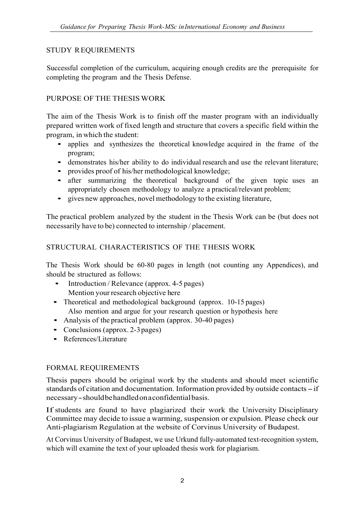## STUDY REQUIREMENTS

Successful completion of the curriculum, acquiring enough credits are the prerequisite for completing the program and the Thesis Defense.

## PURPOSE OF THE THESIS WORK

The aim of the Thesis Work is to finish off the master program with an individually prepared written work of fixed length and structure that covers a specific field within the

- program, in which the student: applies and synthesizes the theoretical knowledge acquired in the frame of the
	- demonstrates his/her ability to do individual research and use the relevant literature;<br>• provides proof of his/her methodological knowledge;<br>• after summarizing the theoretical background of the given topic uses an
	-
	- appropriately chosen methodology to analyze a practical/relevant problem; gives new approaches, novel methodology to the existing literature,
	-

The practical problem analyzed by the student in the Thesis Work can be (but does not necessarily have to be) connected to internship / placement.

## STRUCTURAL CHARACTERISTICS OF THE THESIS WORK

The Thesis Work should be 60-80 pages in length (not counting any Appendices), and

- should be structured as follows:<br>
 Introduction / Relevance (approx. 4-5 pages) Mention your research objective here
	- Theoretical and methodological background (approx. 10-15 pages) Also mention and argue for your research question or hypothesis here<br>
	• Analysis of the practical problem (approx. 30-40 pages)<br>
	• Conclusions (approx. 2-3 pages)<br>
	• References/Literature
	-
	-
	-

## FORMAL REQUIREMENTS

Thesis papers should be original work by the students and should meet scientific standards of citation and documentation. Information provided by outside contacts - if necessary - should be handled on a confidential basis.

If students are found to have plagiarized their work the University Disciplinary Committee may decide to issue a warming, suspension or expulsion. Please check our Anti-plagiarism Regulation at the website of Corvinus University of Budapest.

At Corvinus University of Budapest, we use Urkund fully-automated text-recognition system, which will examine the text of your uploaded thesis work for plagiarism.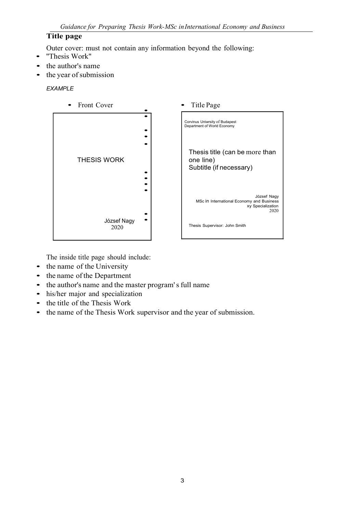### Title page

Outer cover: must not contain any information beyond the following: • ''Thesis Work"

- 
- the author's name
- the year of submission

#### EXAMPLE



The inside title page should include:<br>
• the name of the University

- 
- 
- the name of the Department<br>• the author's name and the master program' s full name
- his/her major and specialization<br>• the title of the Thesis Work
- 
- the name of the Thesis Work supervisor and the year of submission.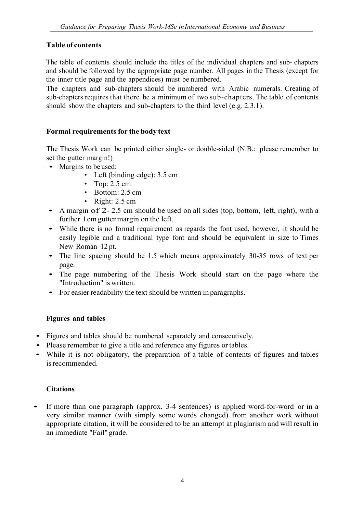## Table of contents

The table of contents should include the titles of the individual chapters and sub- chapters and should be followed by the appropriate page number. All pages in the Thesis (except for the inner title page and the appendices) must be numbered.

The chapters and sub-chapters should be numbered with Arabic numerals. Creating of sub-chapters requires that there be a minimum of two sub-chapters. The table of contents should show the chapters and sub-chapters to the third level (e.g. 2.3.1).

### Formal requirements for the body text

The Thesis Work can be printed either single- or double-sided (N.B.: please remember to set the gutter margin!)<br>• Margins to be used:

- - Left (binding edge): 3.5 cm
	- Top:  $2.5 \text{ cm}$
	- Bottom: 2.5 cm
	- Right: 2.5 cm
- A margin of 2-2.5 cm should be used on all sides (top, bottom, left, right), with a further 1 cm gutter margin on the left.
- While there is no formal requirement as regards the font used, however, it should be easily legible and a traditional type font and should be equivalent in size to Times
- New Roman 12 pt.<br>• The line spacing should be 1.5 which means approximately 30-35 rows of text per
- page. The page numbering of the Thesis Work should start on the page where the
- For easier readability the text should be written in paragraphs.

#### Figures and tables

- 
- 
- Figures and tables should be numbered separately and consecutively.<br>• Please remember to give a title and reference any figures or tables.<br>• While it is not obligatory, the preparation of a table of contents of figures a is recommended.

#### **Citations**

• If more than one paragraph (approx. 3-4 sentences) is applied word-for-word or in a very similar manner (with simply some words changed) from another work without appropriate citation, it will be considered to be an attempt at plagiarism and will result in an immediate "Fail" grade.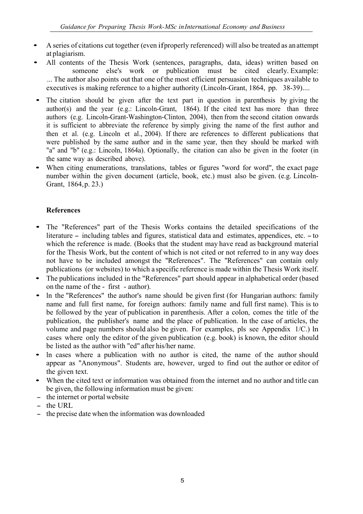- A series of citations cut together (even if properly referenced) will also be treated as an attempt
- at plagiarism.<br>All contents of the Thesis Work (sentences, paragraphs, data, ideas) written based on someone else's work or publication must be cited clearly. Example: ... The author also points out that one of the most efficient persuasion techniques available to executives is making reference to a higher authority (Lincoln-Grant, 1864, pp. 38-39)....
- The citation should be given after the text part in question in parenthesis by giving the author(s) and the year (e.g.: Lincoln-Grant, 1864). If the cited text has more than three authors (e.g. Lincoln-Grant-Washington-Clinton, 2004), then from the second citation onwards it is sufficient to abbreviate the reference by simply giving the name of the first author and then et al. (e.g. Lincoln et al., 2004). If there are references to different publications that were published by the same author and in the same year, then they should be marked with "a" and "b" (e.g.: Lincoln, 1864a). Optionally, the citation can also be given in the footer (in
- the same way as described above).<br>• When citing enumerations, translations, tables or figures "word for word", the exact page number within the given document (article, book, etc.) must also be given. (e.g. Lincoln-Grant, 1864, p. 23.)

### References

- The "References" part of the Thesis Works contains the detailed specifications of the literature – including tables and figures, statistical data and estimates, appendices, etc. – to which the reference is made. (Books that the student may have read as background material for the Thesis Work, but the content of which is not cited or not referred to in any way does not have to be included amongst the ''References". The ''References" can contain only
- publications (or websites) to which a specific reference is made within the Thesis Work itself.<br>
 The publications included in the "References" part should appear in alphabetical order (based on the name of the first -
- In the "References" the author's name should be given first (for Hungarian authors: family name and full first name, for foreign authors: family name and full first name). This is to be followed by the year of publication in parenthesis. After a colon, comes the title of the publication, the publisher's name and the place of publication. ln the case of articles, the volume and page numbers should also be given. For examples, pls see Appendix 1/C.) ln cases where only the editor of the given publication (e.g. book) is known, the editor should
- be listed as the author with "ed" after his/her name.<br>In cases where a publication with no author is cited, the name of the author should appear as "Anonymous". Students are, however, urged to find out the author or editor of the given text.<br>• When the cited text or information was obtained from the internet and no author and title can
- be given, the following information must be given:<br>- the internet or portal website<br>- the URL
- 
- 
- the precise date when the information was downloaded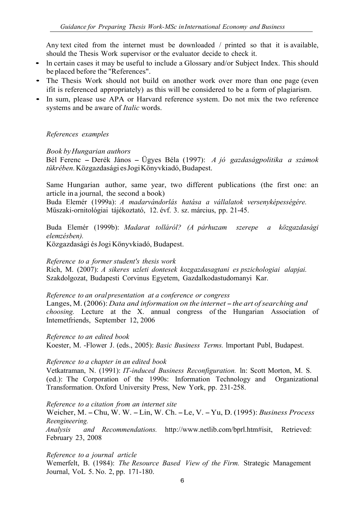Any text cited from the internet must be downloaded / printed so that it is available,

- should the Thesis Work supervisor or the evaluator decide to check it.<br>
 In certain cases it may be useful to include a Glossary and/or Subject Index. This should<br>
be placed before the "References".
- The Thesis Work should not build on another work over more than one page (even ifit is referenced appropriately) as this will be considered to be a form of plagiarism. • In sum, please use APA or Harvard reference system. Do not mix the two reference
- systems and be aware of *Italic* words.

#### References examples

Book by Hungarian authors

Bél Ferenc – Derék János – Ügyes Béla (1997): A jó gazdaságpolitika a számok tükrében. Közgazdasági es Jogi Könyvkiadó, Budapest.

Same Hungarian author, same year, two different publications (the first one: an article in a journal, the second a book)

Buda Elemér (1999a): A madarvándorlás hatása a vállalatok versenyképességére. Műszaki-ornitológiai tájékoztató, 12. évf. 3. sz. március, pp. 21-45.

Buda Elemér (1999b): Madarat tolláról? (A párhuzam szerepe a közgazdasági elemzésben).

Közgazdasági és Jogi Könyvkiadó, Budapest.

#### Reference to a former student's thesis work

Rich, M. (2007): A sikeres uzleti dontesek kozgazdasagtani es pszichologiai alapjai. Szakdolgozat, Budapesti Corvinus Egyetem, Gazdalkodastudomanyi Kar.

#### Reference to an oral presentation at a conference or congress

Langes, M. (2006): Data and information on the internet  $-$  the art of searching and choosing. Lecture at the X. annual congress of the Hungarian Association of Intemetfriends, September 12, 2006

Reference to an edited book Koester, M. -Flower J. (eds., 2005): Basic Business Terms. lmportant Publ, Budapest.

#### Reference to a chapter in an edited book

Vetkatraman, N. (1991): IT-induced Business Reconfiguration. ln: Scott Morton, M. S. (ed.): The Corporation of the 1990s: Information Technology and Organizational Transformation. Oxford University Press, New York, pp. 231-258.

Reference to a citation from an internet site

Weicher, M. - Chu, W. W. - Lin, W. Ch. - Le, V. - Yu, D. (1995): Business Process Reengineering.

Analysis and Recommendations. http://www.netlib.com/bprl.htm#isit, Retrieved: February 23, 2008

Reference to a journal article

Wemerfelt, B. (1984): The Resource Based View of the Firm. Strategic Management Journal, VoL 5. No. 2, pp. 171-180.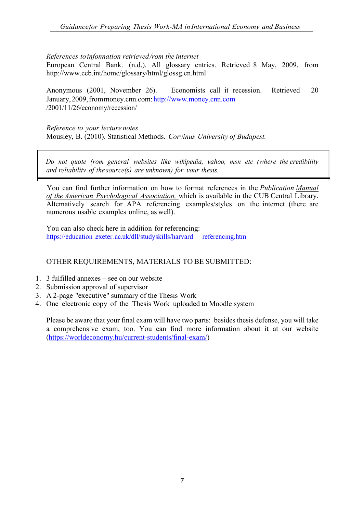#### References to infonnation retrieved /rom the internet

European Central Bank. (n.d.). All glossary entries. Retrieved 8 May, 2009, from http://www.ecb.int/home/glossary/html/glossg.en.html

 Anonymous (2001, November 26). Economists call it recession. Retrieved 20 January, 2009, from money.cnn.com: http://www.money.cnn.com /2001/11/26/economy/recession/

Reference to your lecture notes Mousley, B. (2010). Statistical Methods. Corvinus University of Budapest.

Do not quote (rom general websites like wikipedia, vahoo, msn etc (where the credibility and reliabilitv of the source(s) are unknown) for vour thesis.

You can find further information on how to format references in the Publication Manual of the American Psvchological Association, which is available in the CUB Central Library. Altematively search for APA referencing examples/styles on the internet (there are numerous usable examples online, as well).

You can also check here in addition for referencing: https://education .exeter.ac.uk/dll/studyskills/harvard referencing.htm

#### OTHER REQUIREMENTS, MATERIALS TO BE SUBMITTED:

- 1. 3 fulfilled annexes see on our website
- 2. Submission approval of supervisor
- 3. A 2-page "executive" summary of the Thesis Work
- 4. One electronic copy of the Thesis Work uploaded to Moodle system

Please be aware that your final exam will have two parts: besides thesis defense, you will take a comprehensive exam, too. You can find more information about it at our website (https://worldeconomy.hu/current-students/final-exam/)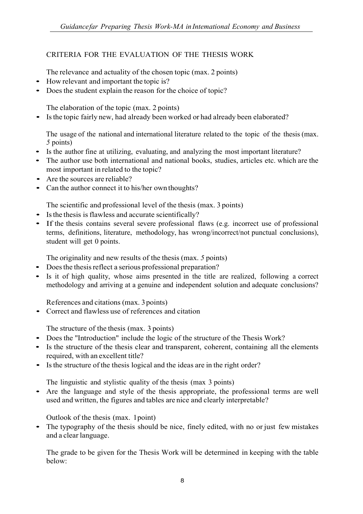## CRITERIA FOR THE EVALUATION OF THE THESIS WORK

The relevance and actuality of the chosen topic (max. 2 points)<br>• How relevant and important the topic is?

- 
- Does the student explain the reason for the choice of topic?

The elaboration of the topic (max. 2 points)<br>• Is the topic fairly new, had already been worked or had already been elaborated?

The usage of the national and international literature related to the topic of the thesis (max.

- <sup>5</sup>points) Is the author fine at utilizing, evaluating, and analyzing the most important literature? The author use both international and national books, studies, articles etc. which are the
- most important in related to the topic?
- Are the sources are reliable?
- Can the author connect it to his/her own thoughts?

The scientific and professional level of the thesis (max. 3 points)<br>
• Is the thesis is flawless and accurate scientifically?

- 
- If the thesis contains several severe professional flaws (e.g. incorrect use of professional terms, definitions, literature, methodology, has wrong/incorrect/not punctual conclusions), student will get 0 points.

The originality and new results of the thesis (max. 5 points)<br>Does the thesis reflect a serious professional preparation?

- 
- Is it of high quality, whose aims presented in the title are realized, following a correct methodology and arriving at a genuine and independent solution and adequate conclusions?

References and citations (max. 3 points)<br>
• Correct and flawless use of references and citation

- The structure of the thesis (max. 3 points)<br>
 Does the "Introduction" include the logic of the structure of the Thesis Work?
- Is the structure of the thesis clear and transparent, coherent, containing all the elements required, with an excellent title?
- Is the structure of the thesis logical and the ideas are in the right order?

The linguistic and stylistic quality of the thesis (max 3 points)<br>• Are the language and style of the thesis appropriate, the professional terms are well used and written, the figures and tables are nice and clearly interpretable?

Outlook of the thesis (max. 1point) • The typography of the thesis should be nice, finely edited, with no or just few mistakes and a clear language.

The grade to be given for the Thesis Work will be determined in keeping with the table below: